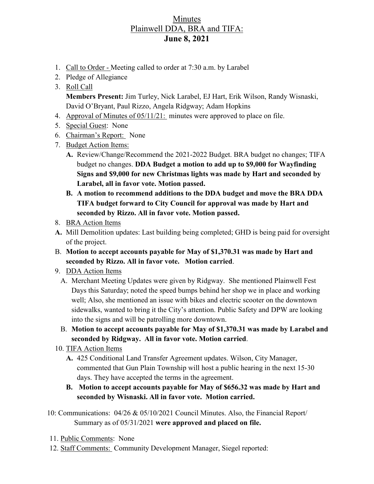## Minutes Plainwell DDA, BRA and TIFA: **June 8, 2021**

- 1. Call to Order Meeting called to order at 7:30 a.m. by Larabel
- 2. Pledge of Allegiance
- 3. Roll Call **Members Present:** Jim Turley, Nick Larabel, EJ Hart, Erik Wilson, Randy Wisnaski, David O'Bryant, Paul Rizzo, Angela Ridgway; Adam Hopkins
- 4. Approval of Minutes of 05/11/21: minutes were approved to place on file.
- 5. Special Guest: None
- 6. Chairman's Report: None
- 7. Budget Action Items:
	- **A.** Review/Change/Recommend the 2021-2022 Budget. BRA budget no changes; TIFA budget no changes. **DDA Budget a motion to add up to \$9,000 for Wayfinding Signs and \$9,000 for new Christmas lights was made by Hart and seconded by Larabel, all in favor vote. Motion passed.**
	- **B. A motion to recommend additions to the DDA budget and move the BRA DDA TIFA budget forward to City Council for approval was made by Hart and seconded by Rizzo. All in favor vote. Motion passed.**
- 8. BRA Action Items
- **A.** Mill Demolition updates: Last building being completed; GHD is being paid for oversight of the project.
- B. **Motion to accept accounts payable for May of \$1,370.31 was made by Hart and seconded by Rizzo. All in favor vote. Motion carried**.
- 9. DDA Action Items
	- A. Merchant Meeting Updates were given by Ridgway. She mentioned Plainwell Fest Days this Saturday; noted the speed bumps behind her shop we in place and working well; Also, she mentioned an issue with bikes and electric scooter on the downtown sidewalks, wanted to bring it the City's attention. Public Safety and DPW are looking into the signs and will be patrolling more downtown.
	- B. **Motion to accept accounts payable for May of \$1,370.31 was made by Larabel and seconded by Ridgway. All in favor vote. Motion carried**.
- 10. TIFA Action Items
	- **A.** 425 Conditional Land Transfer Agreement updates. Wilson, City Manager, commented that Gun Plain Township will host a public hearing in the next 15-30 days. They have accepted the terms in the agreement.
	- **B. Motion to accept accounts payable for May of \$656.32 was made by Hart and seconded by Wisnaski. All in favor vote. Motion carried.**
- 10: Communications: 04/26 & 05/10/2021 Council Minutes. Also, the Financial Report/ Summary as of 05/31/2021 **were approved and placed on file.**
- 11. Public Comments: None
- 12. Staff Comments: Community Development Manager, Siegel reported: